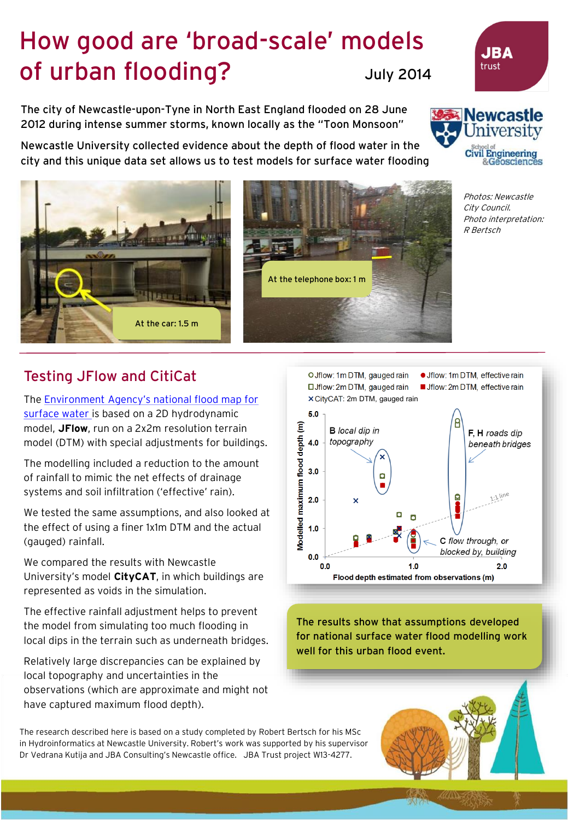## How good are 'broad-scale' models of urban flooding? July 2014

The city of Newcastle-upon-Tyne in North East England flooded on 28 June 2012 during intense summer storms, known locally as the "Toon Monsoon"

Newcastle University collected evidence about the depth of flood water in the city and this unique data set allows us to test models for surface water flooding

At the telephone box: 1 m

Testing JFlow and CitiCat

The Environment Agency's national flood map for [surface water is based on a 2D hydrodynamic](http://watermaps.environment-agency.gov.uk/wiyby/wiyby.aspx?topic=ufmfsw#x=357683&y=355134&scale=2)  model, **JFlow**, run on a 2x2m resolution terrain model (DTM) with special adjustments for buildings.

At the car: 1.5 m

The modelling included a reduction to the amount of rainfall to mimic the net effects of drainage systems and soil infiltration ('effective' rain).

We tested the same assumptions, and also looked at the effect of using a finer 1x1m DTM and the actual (gauged) rainfall.

We compared the results with Newcastle University's model **CityCAT**, in which buildings are represented as voids in the simulation.

The effective rainfall adjustment helps to prevent the model from simulating too much flooding in local dips in the terrain such as underneath bridges.

Relatively large discrepancies can be explained by local topography and uncertainties in the observations (which are approximate and might not have captured maximum flood depth).

The research described here is based on a study completed by Robert Bertsch for his MSc in Hydroinformatics at Newcastle University. Robert's work was supported by his supervisor Dr Vedrana Kutija and JBA Consulting's Newcastle office. JBA Trust project W13-4277.





Photos: Newcastle City Council. Photo interpretation: R Bertsch

The results show that assumptions developed for national surface water flood modelling work well for this urban flood event.